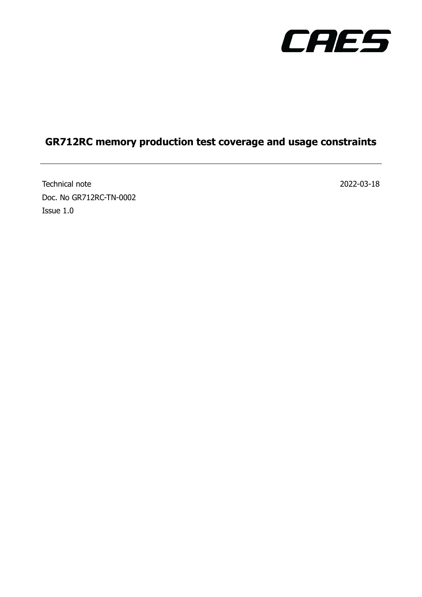

## **GR712RC memory production test coverage and usage constraints**

Technical note 2022-03-18 Doc. No GR712RC-TN-0002 Issue 1.0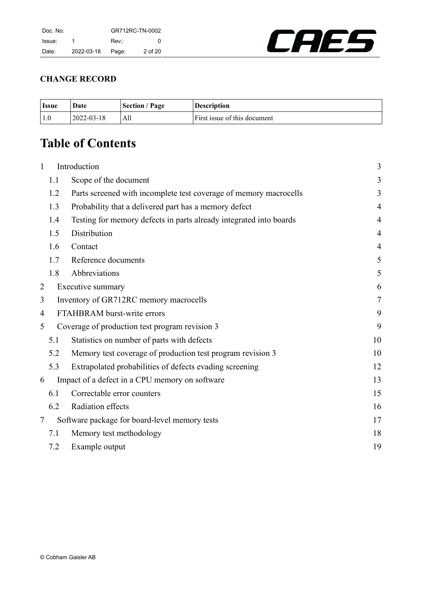

## **CHANGE RECORD**

| <b>Issue</b> | Date             | <b>Section / Page</b> | <b>Description</b>           |
|--------------|------------------|-----------------------|------------------------------|
| 1.0          | $2022 - 03 - 18$ | All                   | First issue of this document |

# **Table of Contents**

| $\mathbf{1}$   |     | Introduction                                                       | 3              |
|----------------|-----|--------------------------------------------------------------------|----------------|
|                | 1.1 | Scope of the document                                              | 3              |
|                | 1.2 | Parts screened with incomplete test coverage of memory macrocells  | 3              |
|                | 1.3 | Probability that a delivered part has a memory defect              | $\overline{4}$ |
|                | 1.4 | Testing for memory defects in parts already integrated into boards | $\overline{4}$ |
|                | 1.5 | Distribution                                                       | $\overline{4}$ |
|                | 1.6 | Contact                                                            | $\overline{4}$ |
|                | 1.7 | Reference documents                                                | 5              |
|                | 1.8 | Abbreviations                                                      | 5              |
| $\overline{2}$ |     | Executive summary                                                  | 6              |
| 3              |     | Inventory of GR712RC memory macrocells                             | $\tau$         |
| 4              |     | FTAHBRAM burst-write errors                                        | 9              |
| 5              |     | Coverage of production test program revision 3                     | 9              |
|                | 5.1 | Statistics on number of parts with defects                         | 10             |
|                | 5.2 | Memory test coverage of production test program revision 3         | 10             |
|                | 5.3 | Extrapolated probabilities of defects evading screening            | 12             |
| 6              |     | Impact of a defect in a CPU memory on software                     | 13             |
|                | 6.1 | Correctable error counters                                         | 15             |
|                | 6.2 | Radiation effects                                                  | 16             |
| 7              |     | Software package for board-level memory tests                      | 17             |
|                | 7.1 | Memory test methodology                                            | 18             |
|                | 7.2 | Example output                                                     | 19             |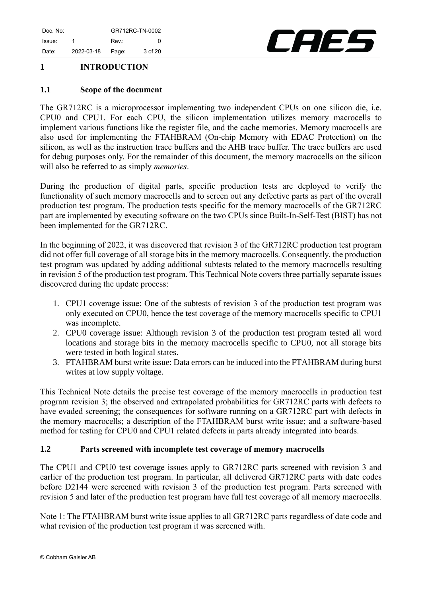

## <span id="page-2-0"></span>**1 INTRODUCTION**

#### <span id="page-2-1"></span>**1.1 Scope of the document**

The GR712RC is a microprocessor implementing two independent CPUs on one silicon die, i.e. CPU0 and CPU1. For each CPU, the silicon implementation utilizes memory macrocells to implement various functions like the register file, and the cache memories. Memory macrocells are also used for implementing the FTAHBRAM (On-chip Memory with EDAC Protection) on the silicon, as well as the instruction trace buffers and the AHB trace buffer. The trace buffers are used for debug purposes only. For the remainder of this document, the memory macrocells on the silicon will also be referred to as simply *memories*.

During the production of digital parts, specific production tests are deployed to verify the functionality of such memory macrocells and to screen out any defective parts as part of the overall production test program. The production tests specific for the memory macrocells of the GR712RC part are implemented by executing software on the two CPUs since Built-In-Self-Test (BIST) has not been implemented for the GR712RC.

In the beginning of 2022, it was discovered that revision 3 of the GR712RC production test program did not offer full coverage of all storage bits in the memory macrocells. Consequently, the production test program was updated by adding additional subtests related to the memory macrocells resulting in revision 5 of the production test program. This Technical Note covers three partially separate issues discovered during the update process:

- 1. CPU1 coverage issue: One of the subtests of revision 3 of the production test program was only executed on CPU0, hence the test coverage of the memory macrocells specific to CPU1 was incomplete.
- 2. CPU0 coverage issue: Although revision 3 of the production test program tested all word locations and storage bits in the memory macrocells specific to CPU0, not all storage bits were tested in both logical states.
- 3. FTAHBRAM burst write issue: Data errors can be induced into the FTAHBRAM during burst writes at low supply voltage.

This Technical Note details the precise test coverage of the memory macrocells in production test program revision 3; the observed and extrapolated probabilities for GR712RC parts with defects to have evaded screening; the consequences for software running on a GR712RC part with defects in the memory macrocells; a description of the FTAHBRAM burst write issue; and a software-based method for testing for CPU0 and CPU1 related defects in parts already integrated into boards.

#### <span id="page-2-2"></span>**1.2 Parts screened with incomplete test coverage of memory macrocells**

The CPU1 and CPU0 test coverage issues apply to GR712RC parts screened with revision 3 and earlier of the production test program. In particular, all delivered GR712RC parts with date codes before D2144 were screened with revision 3 of the production test program. Parts screened with revision 5 and later of the production test program have full test coverage of all memory macrocells.

Note 1: The FTAHBRAM burst write issue applies to all GR712RC parts regardless of date code and what revision of the production test program it was screened with.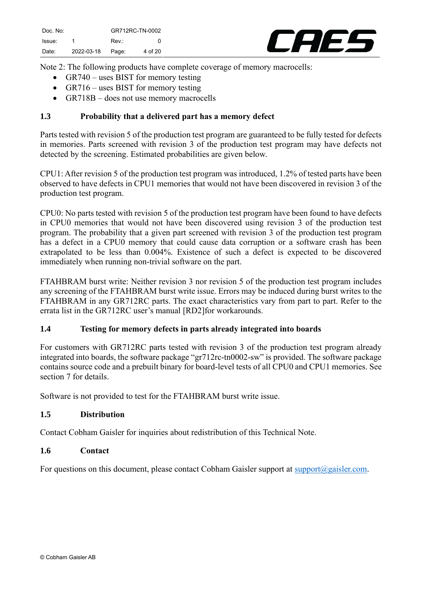

Note 2: The following products have complete coverage of memory macrocells:

- GR740 uses BIST for memory testing
- GR716 uses BIST for memory testing
- GR718B does not use memory macrocells

#### <span id="page-3-0"></span>**1.3 Probability that a delivered part has a memory defect**

Parts tested with revision 5 of the production test program are guaranteed to be fully tested for defects in memories. Parts screened with revision 3 of the production test program may have defects not detected by the screening. Estimated probabilities are given below.

CPU1: After revision 5 of the production test program was introduced, 1.2% of tested parts have been observed to have defects in CPU1 memories that would not have been discovered in revision 3 of the production test program.

CPU0: No parts tested with revision 5 of the production test program have been found to have defects in CPU0 memories that would not have been discovered using revision 3 of the production test program. The probability that a given part screened with revision 3 of the production test program has a defect in a CPU0 memory that could cause data corruption or a software crash has been extrapolated to be less than 0.004%. Existence of such a defect is expected to be discovered immediately when running non-trivial software on the part.

FTAHBRAM burst write: Neither revision 3 nor revision 5 of the production test program includes any screening of the FTAHBRAM burst write issue. Errors may be induced during burst writes to the FTAHBRAM in any GR712RC parts. The exact characteristics vary from part to part. Refer to the errata list in the GR712RC user's manual [\[RD2\]f](#page-4-2)or workarounds.

#### <span id="page-3-1"></span>**1.4 Testing for memory defects in parts already integrated into boards**

For customers with GR712RC parts tested with revision 3 of the production test program already integrated into boards, the software package "gr712rc-tn0002-sw" is provided. The software package contains source code and a prebuilt binary for board-level tests of all CPU0 and CPU1 memories. See section [7](#page-16-0) for details.

<span id="page-3-2"></span>Software is not provided to test for the FTAHBRAM burst write issue.

#### **1.5 Distribution**

<span id="page-3-3"></span>Contact Cobham Gaisler for inquiries about redistribution of this Technical Note.

#### **1.6 Contact**

For questions on this document, please contact Cobham Gaisler support at support  $\alpha$  gaisler.com.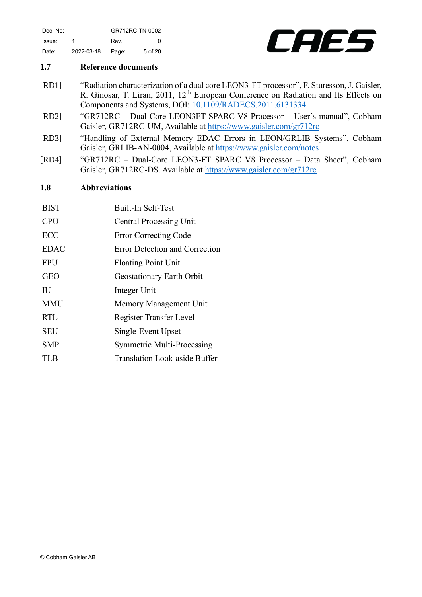

#### <span id="page-4-0"></span>**1.7 Reference documents**

- <span id="page-4-3"></span>[RD1] "Radiation characterization of a dual core LEON3-FT processor", F. Sturesson, J. Gaisler, R. Ginosar, T. Liran, 2011, 12<sup>th</sup> European Conference on Radiation and Its Effects on Components and Systems, DOI: [10.1109/RADECS.2011.6131334](https://doi.org/10.1109/RADECS.2011.6131334)
- <span id="page-4-2"></span>[RD2] "GR712RC – Dual-Core LEON3FT SPARC V8 Processor – User's manual", Cobham Gaisler, GR712RC-UM, Available at<https://www.gaisler.com/gr712rc>
- <span id="page-4-4"></span>[RD3] "Handling of External Memory EDAC Errors in LEON/GRLIB Systems", Cobham Gaisler, GRLIB-AN-0004, Available at<https://www.gaisler.com/notes>
- <span id="page-4-5"></span>[RD4] "GR712RC – Dual-Core LEON3-FT SPARC V8 Processor – Data Sheet", Cobham Gaisler, GR712RC-DS. Available at<https://www.gaisler.com/gr712rc>

#### <span id="page-4-1"></span>**1.8 Abbreviations**

| <b>BIST</b> | Built-In Self-Test                |
|-------------|-----------------------------------|
| <b>CPU</b>  | <b>Central Processing Unit</b>    |
| <b>ECC</b>  | <b>Error Correcting Code</b>      |
| <b>EDAC</b> | Error Detection and Correction    |
| <b>FPU</b>  | <b>Floating Point Unit</b>        |
| <b>GEO</b>  | Geostationary Earth Orbit         |
| IU          | Integer Unit                      |
| <b>MMU</b>  | Memory Management Unit            |
| <b>RTL</b>  | Register Transfer Level           |
| <b>SEU</b>  | Single-Event Upset                |
| <b>SMP</b>  | <b>Symmetric Multi-Processing</b> |
| TLB         | Translation Look-aside Buffer     |
|             |                                   |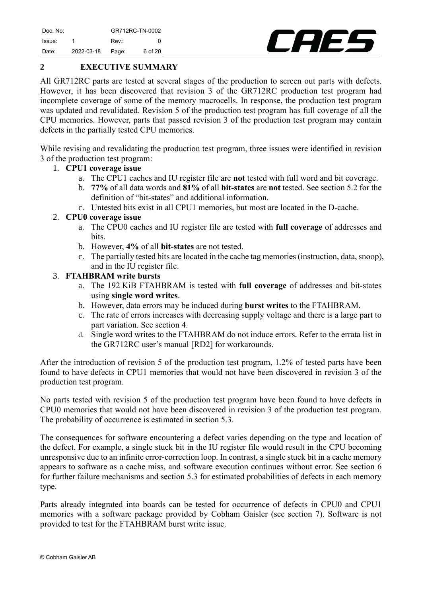CAEL

## <span id="page-5-0"></span>**2 EXECUTIVE SUMMARY**

All GR712RC parts are tested at several stages of the production to screen out parts with defects. However, it has been discovered that revision 3 of the GR712RC production test program had incomplete coverage of some of the memory macrocells. In response, the production test program was updated and revalidated. Revision 5 of the production test program has full coverage of all the CPU memories. However, parts that passed revision 3 of the production test program may contain defects in the partially tested CPU memories.

While revising and revalidating the production test program, three issues were identified in revision 3 of the production test program:

#### 1. **CPU1 coverage issue**

- a. The CPU1 caches and IU register file are **not** tested with full word and bit coverage.
- b. **77%** of all data words and **81%** of all **bit-states** are **not** tested. See section [5.2](#page-9-1) for the definition of "bit-states" and additional information.
- c. Untested bits exist in all CPU1 memories, but most are located in the D-cache.

#### 2. **CPU0 coverage issue**

- a. The CPU0 caches and IU register file are tested with **full coverage** of addresses and bits.
- b. However, **4%** of all **bit-states** are not tested.
- c. The partially tested bits are located in the cache tag memories (instruction, data, snoop), and in the IU register file.

#### 3. **FTAHBRAM write bursts**

- a. The 192 KiB FTAHBRAM is tested with **full coverage** of addresses and bit-states using **single word writes**.
- b. However, data errors may be induced during **burst writes** to the FTAHBRAM.
- c. The rate of errors increases with decreasing supply voltage and there is a large part to part variation. See section [4.](#page-8-0)
- d. Single word writes to the FTAHBRAM do not induce errors. Refer to the errata list in the GR712RC user's manual [\[RD2\]](#page-4-2) for workarounds.

After the introduction of revision 5 of the production test program, 1.2% of tested parts have been found to have defects in CPU1 memories that would not have been discovered in revision 3 of the production test program.

No parts tested with revision 5 of the production test program have been found to have defects in CPU0 memories that would not have been discovered in revision 3 of the production test program. The probability of occurrence is estimated in section [5.3.](#page-11-0)

The consequences for software encountering a defect varies depending on the type and location of the defect. For example, a single stuck bit in the IU register file would result in the CPU becoming unresponsive due to an infinite error-correction loop. In contrast, a single stuck bit in a cache memory appears to software as a cache miss, and software execution continues without error. See section [6](#page-12-0) for further failure mechanisms and section [5.3](#page-11-0) for estimated probabilities of defects in each memory type.

Parts already integrated into boards can be tested for occurrence of defects in CPU0 and CPU1 memories with a software package provided by Cobham Gaisler (see section [7\)](#page-16-0). Software is not provided to test for the FTAHBRAM burst write issue.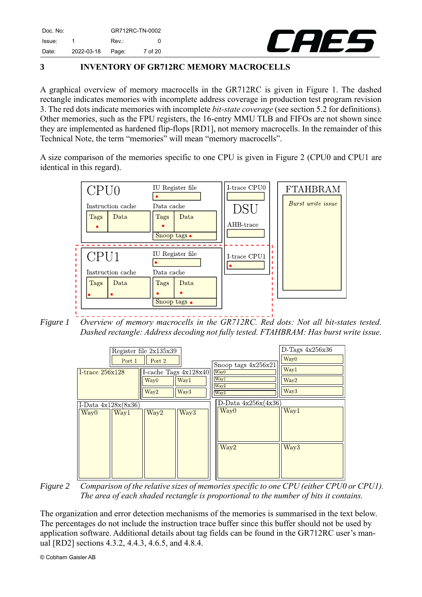

## <span id="page-6-0"></span>**3 INVENTORY OF GR712RC MEMORY MACROCELLS**

A graphical overview of memory macrocells in the GR712RC is given in [Figure 1.](#page-6-1) The dashed rectangle indicates memories with incomplete address coverage in production test program revision 3. The red dots indicate memories with incomplete *bit-state coverage* (see section [5.2](#page-9-1) for definitions). Other memories, such as the FPU registers, the 16-entry MMU TLB and FIFOs are not shown since they are implemented as hardened flip-flops [\[RD1\],](#page-4-3) not memory macrocells. In the remainder of this Technical Note, the term "memories" will mean "memory macrocells".

A size comparison of the memories specific to one CPU is given in [Figure 2](#page-6-2) (CPU0 and CPU1 are identical in this regard).



<span id="page-6-1"></span>*Figure 1 Overview of memory macrocells in the GR712RC. Red dots: Not all bit-states tested. Dashed rectangle: Address decoding not fully tested. FTAHBRAM: Has burst write issue.*



<span id="page-6-2"></span>*Figure 2 Comparison of the relative sizes of memories specific to one CPU (either CPU0 or CPU1). The area of each shaded rectangle is proportional to the number of bits it contains.*

The organization and error detection mechanisms of the memories is summarised in the text below. The percentages do not include the instruction trace buffer since this buffer should not be used by application software. Additional details about tag fields can be found in the GR712RC user's manual [\[RD2\]](#page-4-2) sections 4.3.2, 4.4.3, 4.6.5, and 4.8.4.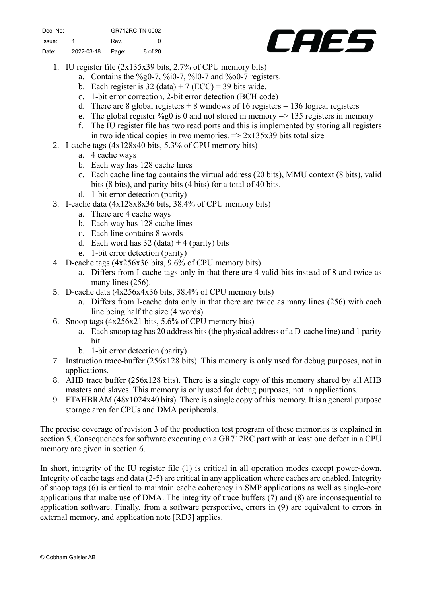

- 1. IU register file (2x135x39 bits, 2.7% of CPU memory bits)
	- a. Contains the  $\frac{60}{9}$ 0-7,  $\frac{60}{10}$ -7,  $\frac{60}{10}$ -7 and  $\frac{60}{90}$ -7 registers.
	- b. Each register is  $32$  (data) + 7 (ECC) = 39 bits wide.
	- c. 1-bit error correction, 2-bit error detection (BCH code)
	- d. There are 8 global registers  $+ 8$  windows of 16 registers  $= 136$  logical registers
	- e. The global register %g0 is 0 and not stored in memory  $\Rightarrow$  135 registers in memory
	- f. The IU register file has two read ports and this is implemented by storing all registers in two identical copies in two memories.  $\Rightarrow$  2x135x39 bits total size
- 2. I-cache tags (4x128x40 bits, 5.3% of CPU memory bits)
	- a. 4 cache ways
	- b. Each way has 128 cache lines
	- c. Each cache line tag contains the virtual address (20 bits), MMU context (8 bits), valid bits (8 bits), and parity bits (4 bits) for a total of 40 bits.
	- d. 1-bit error detection (parity)
- 3. I-cache data (4x128x8x36 bits, 38.4% of CPU memory bits)
	- a. There are 4 cache ways
	- b. Each way has 128 cache lines
	- c. Each line contains 8 words
	- d. Each word has  $32$  (data) + 4 (parity) bits
	- e. 1-bit error detection (parity)
- 4. D-cache tags (4x256x36 bits, 9.6% of CPU memory bits)
	- a. Differs from I-cache tags only in that there are 4 valid-bits instead of 8 and twice as many lines (256).
- 5. D-cache data (4x256x4x36 bits, 38.4% of CPU memory bits)
	- a. Differs from I-cache data only in that there are twice as many lines (256) with each line being half the size (4 words).
- 6. Snoop tags (4x256x21 bits, 5.6% of CPU memory bits)
	- a. Each snoop tag has 20 address bits (the physical address of a D-cache line) and 1 parity bit.
	- b. 1-bit error detection (parity)
- 7. Instruction trace-buffer (256x128 bits). This memory is only used for debug purposes, not in applications.
- 8. AHB trace buffer (256x128 bits). There is a single copy of this memory shared by all AHB masters and slaves. This memory is only used for debug purposes, not in applications.
- 9. FTAHBRAM (48x1024x40 bits). There is a single copy of this memory. It is a general purpose storage area for CPUs and DMA peripherals.

The precise coverage of revision 3 of the production test program of these memories is explained in section [5.](#page-8-1) Consequences for software executing on a GR712RC part with at least one defect in a CPU memory are given in section [6.](#page-12-0)

In short, integrity of the IU register file (1) is critical in all operation modes except power-down. Integrity of cache tags and data (2-5) are critical in any application where caches are enabled. Integrity of snoop tags (6) is critical to maintain cache coherency in SMP applications as well as single-core applications that make use of DMA. The integrity of trace buffers (7) and (8) are inconsequential to application software. Finally, from a software perspective, errors in (9) are equivalent to errors in external memory, and application note [\[RD3\]](#page-4-4) applies.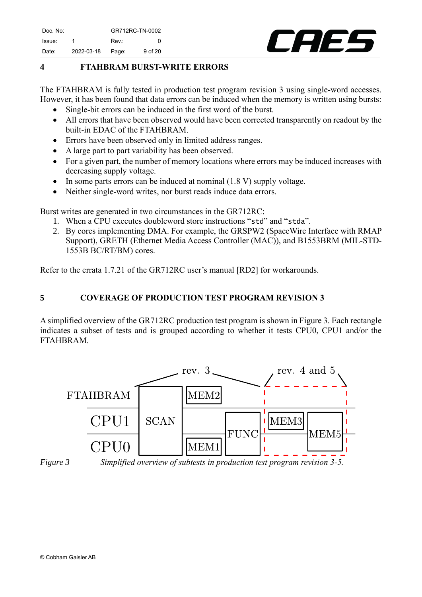

## <span id="page-8-0"></span>**4 FTAHBRAM BURST-WRITE ERRORS**

The FTAHBRAM is fully tested in production test program revision 3 using single-word accesses. However, it has been found that data errors can be induced when the memory is written using bursts:

- Single-bit errors can be induced in the first word of the burst.
- All errors that have been observed would have been corrected transparently on readout by the built-in EDAC of the FTAHBRAM.
- Errors have been observed only in limited address ranges.
- A large part to part variability has been observed.
- For a given part, the number of memory locations where errors may be induced increases with decreasing supply voltage.
- In some parts errors can be induced at nominal (1.8 V) supply voltage.
- Neither single-word writes, nor burst reads induce data errors.

Burst writes are generated in two circumstances in the GR712RC:

- 1. When a CPU executes doubleword store instructions "std" and "stda".
- 2. By cores implementing DMA. For example, the GRSPW2 (SpaceWire Interface with RMAP Support), GRETH (Ethernet Media Access Controller (MAC)), and B1553BRM (MIL-STD-1553B BC/RT/BM) cores.

Refer to the errata 1.7.21 of the GR712RC user's manual [\[RD2\]](#page-4-2) for workarounds.

## <span id="page-8-1"></span>**5 COVERAGE OF PRODUCTION TEST PROGRAM REVISION 3**

A simplified overview of the GR712RC production test program is shown in [Figure 3.](#page-8-2) Each rectangle indicates a subset of tests and is grouped according to whether it tests CPU0, CPU1 and/or the FTAHBRAM.



<span id="page-8-2"></span>

*Figure 3 Simplified overview of subtests in production test program revision 3-5.*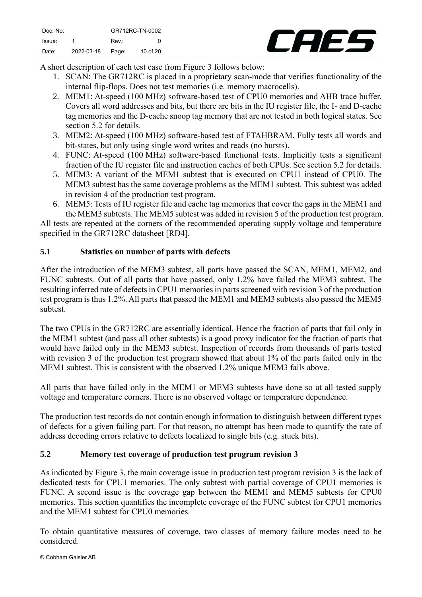

A short description of each test case from [Figure 3](#page-8-2) follows below:

- 1. SCAN: The GR712RC is placed in a proprietary scan-mode that verifies functionality of the internal flip-flops. Does not test memories (i.e. memory macrocells).
- 2. MEM1: At-speed (100 MHz) software-based test of CPU0 memories and AHB trace buffer. Covers all word addresses and bits, but there are bits in the IU register file, the I- and D-cache tag memories and the D-cache snoop tag memory that are not tested in both logical states. See section [5.2](#page-9-1) for details.
- 3. MEM2: At-speed (100 MHz) software-based test of FTAHBRAM. Fully tests all words and bit-states, but only using single word writes and reads (no bursts).
- 4. FUNC: At-speed (100 MHz) software-based functional tests. Implicitly tests a significant fraction of the IU register file and instruction caches of both CPUs. See section [5.2](#page-9-1) for details.
- 5. MEM3: A variant of the MEM1 subtest that is executed on CPU1 instead of CPU0. The MEM3 subtest has the same coverage problems as the MEM1 subtest. This subtest was added in revision 4 of the production test program.
- 6. MEM5: Tests of IU register file and cache tag memories that cover the gaps in the MEM1 and the MEM3 subtests. The MEM5 subtest was added in revision 5 of the production test program.

All tests are repeated at the corners of the recommended operating supply voltage and temperature specified in the GR712RC datasheet [\[RD4\].](#page-4-5)

## <span id="page-9-0"></span>**5.1 Statistics on number of parts with defects**

After the introduction of the MEM3 subtest, all parts have passed the SCAN, MEM1, MEM2, and FUNC subtests. Out of all parts that have passed, only 1.2% have failed the MEM3 subtest. The resulting inferred rate of defects in CPU1 memories in parts screened with revision 3 of the production test program is thus 1.2%. All parts that passed the MEM1 and MEM3 subtests also passed the MEM5 subtest.

The two CPUs in the GR712RC are essentially identical. Hence the fraction of parts that fail only in the MEM1 subtest (and pass all other subtests) is a good proxy indicator for the fraction of parts that would have failed only in the MEM3 subtest. Inspection of records from thousands of parts tested with revision 3 of the production test program showed that about 1% of the parts failed only in the MEM1 subtest. This is consistent with the observed 1.2% unique MEM3 fails above.

All parts that have failed only in the MEM1 or MEM3 subtests have done so at all tested supply voltage and temperature corners. There is no observed voltage or temperature dependence.

The production test records do not contain enough information to distinguish between different types of defects for a given failing part. For that reason, no attempt has been made to quantify the rate of address decoding errors relative to defects localized to single bits (e.g. stuck bits).

#### <span id="page-9-1"></span>**5.2 Memory test coverage of production test program revision 3**

As indicated by [Figure 3,](#page-8-2) the main coverage issue in production test program revision 3 is the lack of dedicated tests for CPU1 memories. The only subtest with partial coverage of CPU1 memories is FUNC. A second issue is the coverage gap between the MEM1 and MEM5 subtests for CPU0 memories. This section quantifies the incomplete coverage of the FUNC subtest for CPU1 memories and the MEM1 subtest for CPU0 memories.

To obtain quantitative measures of coverage, two classes of memory failure modes need to be considered.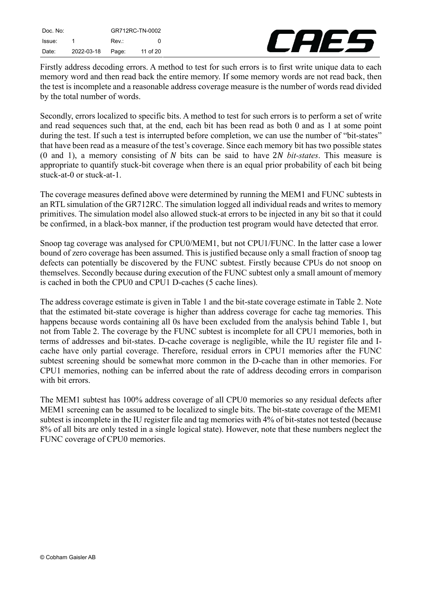| Doc. No: |            | GR712RC-TN-0002 |          |
|----------|------------|-----------------|----------|
| Issue:   |            | Rev.:           | O        |
| Date:    | 2022-03-18 | Page:           | 11 of 20 |



Firstly address decoding errors. A method to test for such errors is to first write unique data to each memory word and then read back the entire memory. If some memory words are not read back, then the test is incomplete and a reasonable address coverage measure is the number of words read divided by the total number of words.

Secondly, errors localized to specific bits. A method to test for such errors is to perform a set of write and read sequences such that, at the end, each bit has been read as both 0 and as 1 at some point during the test. If such a test is interrupted before completion, we can use the number of "bit-states" that have been read as a measure of the test's coverage. Since each memory bit has two possible states  $(0 \text{ and } 1)$ , a memory consisting of N bits can be said to have 2N bit-states. This measure is appropriate to quantify stuck-bit coverage when there is an equal prior probability of each bit being stuck-at-0 or stuck-at-1.

The coverage measures defined above were determined by running the MEM1 and FUNC subtests in an RTL simulation of the GR712RC. The simulation logged all individual reads and writes to memory primitives. The simulation model also allowed stuck-at errors to be injected in any bit so that it could be confirmed, in a black-box manner, if the production test program would have detected that error.

Snoop tag coverage was analysed for CPU0/MEM1, but not CPU1/FUNC. In the latter case a lower bound of zero coverage has been assumed. This is justified because only a small fraction of snoop tag defects can potentially be discovered by the FUNC subtest. Firstly because CPUs do not snoop on themselves. Secondly because during execution of the FUNC subtest only a small amount of memory is cached in both the CPU0 and CPU1 D-caches (5 cache lines).

The address coverage estimate is given in [Table](#page-11-1) 1 and the bit-state coverage estimate in [Table](#page-11-2) 2. Note that the estimated bit-state coverage is higher than address coverage for cache tag memories. This happens because words containing all 0s have been excluded from the analysis behind [Table](#page-11-1) 1, but not from [Table](#page-11-2) 2. The coverage by the FUNC subtest is incomplete for all CPU1 memories, both in terms of addresses and bit-states. D-cache coverage is negligible, while the IU register file and Icache have only partial coverage. Therefore, residual errors in CPU1 memories after the FUNC subtest screening should be somewhat more common in the D-cache than in other memories. For CPU1 memories, nothing can be inferred about the rate of address decoding errors in comparison with bit errors.

The MEM1 subtest has 100% address coverage of all CPU0 memories so any residual defects after MEM1 screening can be assumed to be localized to single bits. The bit-state coverage of the MEM1 subtest is incomplete in the IU register file and tag memories with 4% of bit-states not tested (because 8% of all bits are only tested in a single logical state). However, note that these numbers neglect the FUNC coverage of CPU0 memories.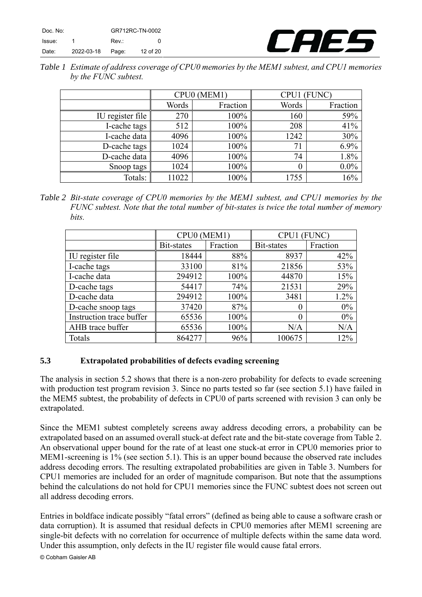| Doc. No: |            | GR712RC-TN-0002 |          |
|----------|------------|-----------------|----------|
| Issue:   |            | Rev.:           | O.       |
| Date:    | 2022-03-18 | Page:           | 12 of 20 |



<span id="page-11-1"></span>

| Table 1 Estimate of address coverage of CPU0 memories by the MEM1 subtest, and CPU1 memories |  |
|----------------------------------------------------------------------------------------------|--|
| by the FUNC subtest.                                                                         |  |

|                  |       | CPU0 (MEM1) | CPU1 (FUNC) |          |
|------------------|-------|-------------|-------------|----------|
|                  | Words | Fraction    | Words       | Fraction |
| IU register file | 270   | 100%        | 160         | 59%      |
| I-cache tags     | 512   | 100%        | 208         | 41%      |
| I-cache data     | 4096  | 100%        | 1242        | 30%      |
| D-cache tags     | 1024  | 100%        | 71          | 6.9%     |
| D-cache data     | 4096  | 100%        | 74          | 1.8%     |
| Snoop tags       | 1024  | 100%        |             | $0.0\%$  |
| Totals:          | 11022 | 100%        | 1755        | 16%      |

<span id="page-11-2"></span>*Table 2 Bit-state coverage of CPU0 memories by the MEM1 subtest, and CPU1 memories by the FUNC subtest. Note that the total number of bit-states is twice the total number of memory bits.*

|                          | CPU0 (MEM1) |          | <b>FUNC</b><br>CPU <sub>1</sub> |          |
|--------------------------|-------------|----------|---------------------------------|----------|
|                          | Bit-states  | Fraction | Bit-states                      | Fraction |
| IU register file         | 18444       | 88%      | 8937                            | 42%      |
| I-cache tags             | 33100       | 81%      | 21856                           | 53%      |
| I-cache data             | 294912      | 100%     | 44870                           | 15%      |
| D-cache tags             | 54417       | 74%      | 21531                           | 29%      |
| D-cache data             | 294912      | 100%     | 3481                            | 1.2%     |
| D-cache snoop tags       | 37420       | 87%      | 0                               | $0\%$    |
| Instruction trace buffer | 65536       | 100%     | 0                               | $0\%$    |
| AHB trace buffer         | 65536       | 100%     | N/A                             | N/A      |
| Totals                   | 864277      | 96%      | 100675                          | 12%      |

#### <span id="page-11-0"></span>**5.3 Extrapolated probabilities of defects evading screening**

The analysis in section [5.2](#page-9-1) shows that there is a non-zero probability for defects to evade screening with production test program revision 3. Since no parts tested so far (see section [5.1\)](#page-9-0) have failed in the MEM5 subtest, the probability of defects in CPU0 of parts screened with revision 3 can only be extrapolated.

Since the MEM1 subtest completely screens away address decoding errors, a probability can be extrapolated based on an assumed overall stuck-at defect rate and the bit-state coverage from [Table](#page-11-2) 2. An observational upper bound for the rate of at least one stuck-at error in CPU0 memories prior to MEM1-screening is 1% (see section [5.1\)](#page-9-0). This is an upper bound because the observed rate includes address decoding errors. The resulting extrapolated probabilities are given in [Table](#page-12-1) 3. Numbers for CPU1 memories are included for an order of magnitude comparison. But note that the assumptions behind the calculations do not hold for CPU1 memories since the FUNC subtest does not screen out all address decoding errors.

Entries in boldface indicate possibly "fatal errors" (defined as being able to cause a software crash or data corruption). It is assumed that residual defects in CPU0 memories after MEM1 screening are single-bit defects with no correlation for occurrence of multiple defects within the same data word. Under this assumption, only defects in the IU register file would cause fatal errors.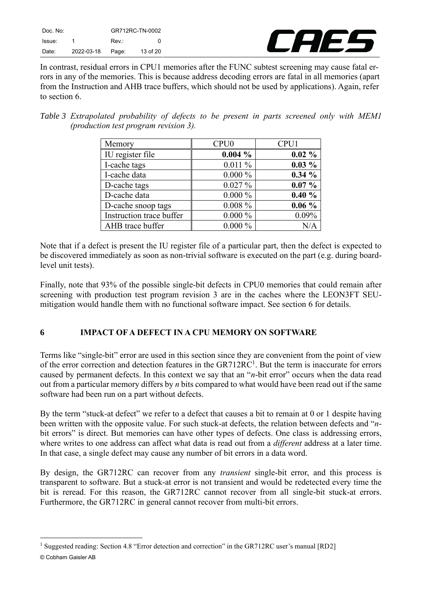| Doc. No: |            | GR712RC-TN-0002 |          |
|----------|------------|-----------------|----------|
| Issue:   |            | Rev.:           | O        |
| Date:    | 2022-03-18 | Page:           | 13 of 20 |



In contrast, residual errors in CPU1 memories after the FUNC subtest screening may cause fatal errors in any of the memories. This is because address decoding errors are fatal in all memories (apart from the Instruction and AHB trace buffers, which should not be used by applications). Again, refer to section [6.](#page-12-0)

<span id="page-12-1"></span>*Table 3 Extrapolated probability of defects to be present in parts screened only with MEM1 (production test program revision 3).*

| Memory                   | CPU <sub>0</sub> | CPU1      |
|--------------------------|------------------|-----------|
| IU register file         | $0.004\%$        | $0.02 \%$ |
| I-cache tags             | 0.011%           | $0.03\%$  |
| I-cache data             | $0.000\%$        | 0.34%     |
| D-cache tags             | 0.027%           | $0.07\%$  |
| D-cache data             | $0.000\%$        | 0.40%     |
| D-cache snoop tags       | $0.008 \%$       | $0.06\%$  |
| Instruction trace buffer | $0.000\%$        | 0.09%     |
| AHB trace buffer         | $0.000\%$        | N/A       |

Note that if a defect is present the IU register file of a particular part, then the defect is expected to be discovered immediately as soon as non-trivial software is executed on the part (e.g. during boardlevel unit tests).

Finally, note that 93% of the possible single-bit defects in CPU0 memories that could remain after screening with production test program revision 3 are in the caches where the LEON3FT SEUmitigation would handle them with no functional software impact. See section [6](#page-12-0) for details.

## <span id="page-12-0"></span>**6 IMPACT OF A DEFECT IN A CPU MEMORY ON SOFTWARE**

Terms like "single-bit" error are used in this section since they are convenient from the point of view of the error correction and detection features in the GR712RC<sup>1</sup>. But the term is inaccurate for errors caused by permanent defects. In this context we say that an "*n*-bit error" occurs when the data read out from a particular memory differs by *n* bits compared to what would have been read out if the same software had been run on a part without defects.

By the term "stuck-at defect" we refer to a defect that causes a bit to remain at 0 or 1 despite having been written with the opposite value. For such stuck-at defects, the relation between defects and "*n*bit errors" is direct. But memories can have other types of defects. One class is addressing errors, where writes to one address can affect what data is read out from a *different* address at a later time. In that case, a single defect may cause any number of bit errors in a data word.

By design, the GR712RC can recover from any *transient* single-bit error, and this process is transparent to software. But a stuck-at error is not transient and would be redetected every time the bit is reread. For this reason, the GR712RC cannot recover from all single-bit stuck-at errors. Furthermore, the GR712RC in general cannot recover from multi-bit errors.

<sup>©</sup> Cobham Gaisler AB <sup>1</sup> Suggested reading: Section 4.8 "Error detection and correction" in the GR712RC user's manual [RD2]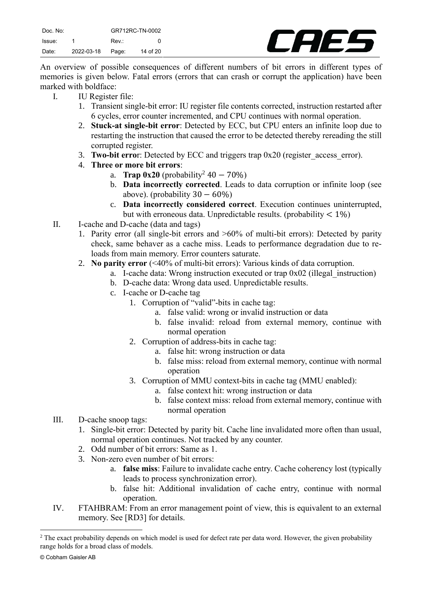

An overview of possible consequences of different numbers of bit errors in different types of memories is given below. Fatal errors (errors that can crash or corrupt the application) have been marked with boldface:

- I. IU Register file:
	- 1. Transient single-bit error: IU register file contents corrected, instruction restarted after 6 cycles, error counter incremented, and CPU continues with normal operation.
	- 2. **Stuck-at single-bit error**: Detected by ECC, but CPU enters an infinite loop due to restarting the instruction that caused the error to be detected thereby rereading the still corrupted register.
	- 3. **Two-bit erro**r: Detected by ECC and triggers trap 0x20 (register\_access\_error).
	- 4. **Three or more bit errors**:
		- a. **Trap 0x20** (probability<sup>2</sup> 40 − 70%)
		- b. **Data incorrectly corrected**. Leads to data corruption or infinite loop (see above). (probability  $30 - 60\%$ )
		- c. **Data incorrectly considered correct**. Execution continues uninterrupted, but with erroneous data. Unpredictable results. (probability  $\langle 1\% \rangle$ )
- II. I-cache and D-cache (data and tags)
	- 1. Parity error (all single-bit errors and >60% of multi-bit errors): Detected by parity check, same behaver as a cache miss. Leads to performance degradation due to reloads from main memory. Error counters saturate.
	- 2. **No parity error** (<40% of multi-bit errors): Various kinds of data corruption.
		- a. I-cache data: Wrong instruction executed or trap 0x02 (illegal\_instruction)
		- b. D-cache data: Wrong data used. Unpredictable results.
		- c. I-cache or D-cache tag
			- 1. Corruption of "valid"-bits in cache tag:
				- a. false valid: wrong or invalid instruction or data
				- b. false invalid: reload from external memory, continue with normal operation
			- 2. Corruption of address-bits in cache tag:
				- a. false hit: wrong instruction or data
				- b. false miss: reload from external memory, continue with normal operation
			- 3. Corruption of MMU context-bits in cache tag (MMU enabled):
				- a. false context hit: wrong instruction or data
				- b. false context miss: reload from external memory, continue with normal operation
- III. D-cache snoop tags:
	- 1. Single-bit error: Detected by parity bit. Cache line invalidated more often than usual, normal operation continues. Not tracked by any counter.
	- 2. Odd number of bit errors: Same as 1.
	- 3. Non-zero even number of bit errors:
		- a. **false miss**: Failure to invalidate cache entry. Cache coherency lost (typically leads to process synchronization error).
		- b. false hit: Additional invalidation of cache entry, continue with normal operation.
- IV. FTAHBRAM: From an error management point of view, this is equivalent to an external memory. See [\[RD3\]](#page-4-4) for details.

<sup>&</sup>lt;sup>2</sup> The exact probability depends on which model is used for defect rate per data word. However, the given probability range holds for a broad class of models.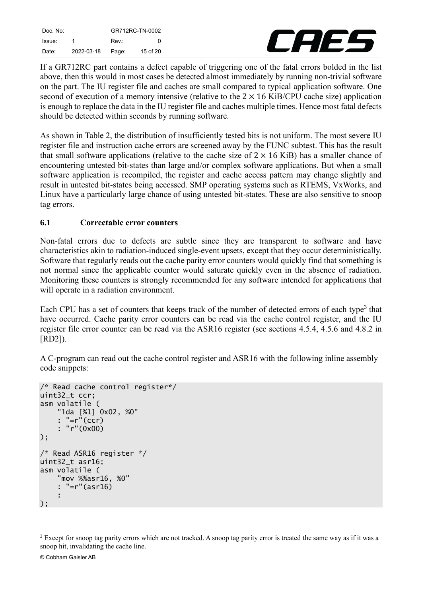| Doc. No: |            | GR712RC-TN-0002 |          |
|----------|------------|-----------------|----------|
| Issue:   |            | Rev.:           | o        |
| Date: .  | 2022-03-18 | Page:           | 15 of 20 |



If a GR712RC part contains a defect capable of triggering one of the fatal errors bolded in the list above, then this would in most cases be detected almost immediately by running non-trivial software on the part. The IU register file and caches are small compared to typical application software. One second of execution of a memory intensive (relative to the  $2 \times 16$  KiB/CPU cache size) application is enough to replace the data in the IU register file and caches multiple times. Hence most fatal defects should be detected within seconds by running software.

As shown in [Table](#page-11-2) 2, the distribution of insufficiently tested bits is not uniform. The most severe IU register file and instruction cache errors are screened away by the FUNC subtest. This has the result that small software applications (relative to the cache size of  $2 \times 16$  KiB) has a smaller chance of encountering untested bit-states than large and/or complex software applications. But when a small software application is recompiled, the register and cache access pattern may change slightly and result in untested bit-states being accessed. SMP operating systems such as RTEMS, VxWorks, and Linux have a particularly large chance of using untested bit-states. These are also sensitive to snoop tag errors.

## <span id="page-14-0"></span>**6.1 Correctable error counters**

Non-fatal errors due to defects are subtle since they are transparent to software and have characteristics akin to radiation-induced single-event upsets, except that they occur deterministically. Software that regularly reads out the cache parity error counters would quickly find that something is not normal since the applicable counter would saturate quickly even in the absence of radiation. Monitoring these counters is strongly recommended for any software intended for applications that will operate in a radiation environment.

Each CPU has a set of counters that keeps track of the number of detected errors of each type<sup>3</sup> that have occurred. Cache parity error counters can be read via the cache control register, and the IU register file error counter can be read via the ASR16 register (see sections 4.5.4, 4.5.6 and 4.8.2 in [\[RD2\]\)](#page-4-2).

A C-program can read out the cache control register and ASR16 with the following inline assembly code snippets:

```
/* Read cache control register*/
uint32_t ccr;
asm volatile (
     "lda [%1] 0x02, %0"
     : "=r"(ccr)
     : "r"(0x00)
);
/* Read ASR16 register */
uint32_t asr16;
asm volatile (
     "mov %%asr16, %0"
     : "=r"(asr16)
     :
);
```
<sup>&</sup>lt;sup>3</sup> Except for snoop tag parity errors which are not tracked. A snoop tag parity error is treated the same way as if it was a snoop hit, invalidating the cache line.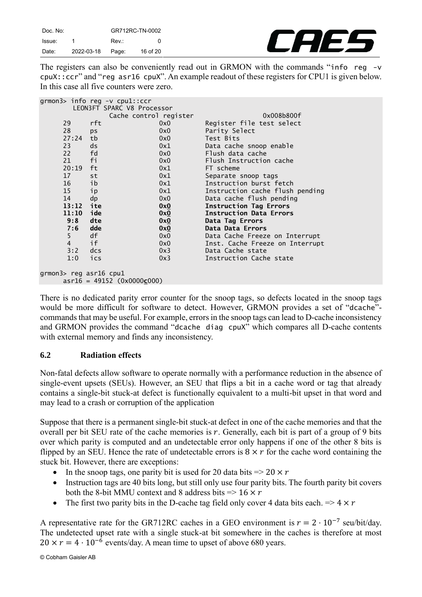| Doc. No: |            | GR712RC-TN-0002 |          |
|----------|------------|-----------------|----------|
| Issue:   |            | Rev.:           | O.       |
| Date:    | 2022-03-18 | Page:           | 16 of 20 |



The registers can also be conveniently read out in GRMON with the commands "info reg -v cpuX::ccr" and "reg asr16 cpuX". An example readout of these registers for CPU1 is given below. In this case all five counters were zero.

|                              | grmon3> info reg -v cpu1::ccr |     |                                 |
|------------------------------|-------------------------------|-----|---------------------------------|
| LEON3FT SPARC V8 Processor   |                               |     |                                 |
|                              | Cache control register        |     | 0x008b800f                      |
| 29                           | rft                           | 0x0 | Register file test select       |
| 28                           | ps                            | 0x0 | Parity Select                   |
| 27:24                        | tb                            | 0x0 | Test Bits                       |
| 23                           | ds                            | 0x1 | Data cache snoop enable         |
| 22                           | fd                            | 0x0 | Flush data cache                |
| 21                           | fi                            | 0x0 | Flush Instruction cache         |
| 20:19                        | ft                            | 0x1 | FT scheme                       |
| 17                           | st                            | 0x1 | Separate snoop tags             |
| 16                           | ib                            | 0x1 | Instruction burst fetch         |
| 15                           | ip                            | 0x1 | Instruction cache flush pending |
| 14                           | dp                            | 0x0 | Data cache flush pending        |
| $13:12$ ite                  |                               | 0x0 | <b>Instruction Tag Errors</b>   |
| 11:10                        | ide                           | 0x0 | <b>Instruction Data Errors</b>  |
| 9:8                          | dte                           | 0x0 | Data Tag Errors                 |
| 7:6                          | dde                           | 0x0 | Data Data Errors                |
| 5                            | df                            | 0x0 | Data Cache Freeze on Interrupt  |
| $\overline{4}$               | if                            | 0x0 | Inst. Cache Freeze on Interrupt |
| 3:2                          | dcs                           | 0x3 | Data Cache state                |
| 1:0                          | ics                           | 0x3 | Instruction Cache state         |
|                              |                               |     |                                 |
| grmon3> reg asr16 cpu1       |                               |     |                                 |
| $asr16 = 49152 (0x0000c000)$ |                               |     |                                 |

There is no dedicated parity error counter for the snoop tags, so defects located in the snoop tags would be more difficult for software to detect. However, GRMON provides a set of "dcache" commands that may be useful. For example, errors in the snoop tags can lead to D-cache inconsistency and GRMON provides the command "dcache diag cpuX" which compares all D-cache contents with external memory and finds any inconsistency.

#### <span id="page-15-0"></span>**6.2 Radiation effects**

Non-fatal defects allow software to operate normally with a performance reduction in the absence of single-event upsets (SEUs). However, an SEU that flips a bit in a cache word or tag that already contains a single-bit stuck-at defect is functionally equivalent to a multi-bit upset in that word and may lead to a crash or corruption of the application

Suppose that there is a permanent single-bit stuck-at defect in one of the cache memories and that the overall per bit SEU rate of the cache memories is  $r$ . Generally, each bit is part of a group of 9 bits over which parity is computed and an undetectable error only happens if one of the other 8 bits is flipped by an SEU. Hence the rate of undetectable errors is  $8 \times r$  for the cache word containing the stuck bit. However, there are exceptions:

- In the snoop tags, one parity bit is used for 20 data bits  $\Rightarrow$  20  $\times r$
- Instruction tags are 40 bits long, but still only use four parity bits. The fourth parity bit covers both the 8-bit MMU context and 8 address bits  $\Rightarrow$  16  $\times r$
- The first two parity bits in the D-cache tag field only cover 4 data bits each.  $\Rightarrow$  4  $\times r$

A representative rate for the GR712RC caches in a GEO environment is  $r = 2 \cdot 10^{-7}$  seu/bit/day. The undetected upset rate with a single stuck-at bit somewhere in the caches is therefore at most  $20 \times r = 4 \cdot 10^{-6}$  events/day. A mean time to upset of above 680 years.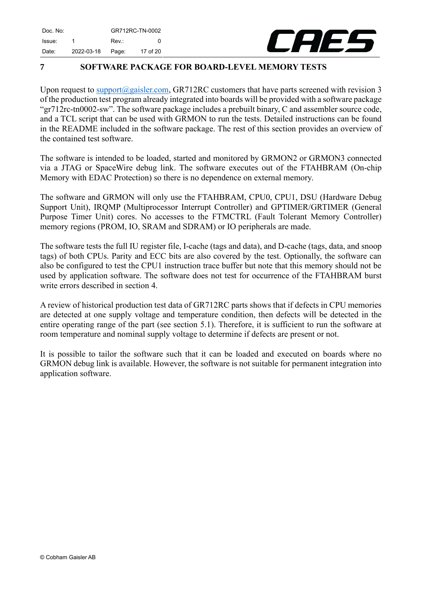Tele

## <span id="page-16-0"></span>**7 SOFTWARE PACKAGE FOR BOARD-LEVEL MEMORY TESTS**

Upon request to [support@gaisler.com,](mailto:support@gaisler.com) GR712RC customers that have parts screened with revision 3 of the production test program already integrated into boards will be provided with a software package "gr712rc-tn0002-sw". The software package includes a prebuilt binary, C and assembler source code, and a TCL script that can be used with GRMON to run the tests. Detailed instructions can be found in the README included in the software package. The rest of this section provides an overview of the contained test software.

The software is intended to be loaded, started and monitored by GRMON2 or GRMON3 connected via a JTAG or SpaceWire debug link. The software executes out of the FTAHBRAM (On-chip Memory with EDAC Protection) so there is no dependence on external memory.

The software and GRMON will only use the FTAHBRAM, CPU0, CPU1, DSU (Hardware Debug Support Unit), IRQMP (Multiprocessor Interrupt Controller) and GPTIMER/GRTIMER (General Purpose Timer Unit) cores. No accesses to the FTMCTRL (Fault Tolerant Memory Controller) memory regions (PROM, IO, SRAM and SDRAM) or IO peripherals are made.

The software tests the full IU register file, I-cache (tags and data), and D-cache (tags, data, and snoop tags) of both CPUs. Parity and ECC bits are also covered by the test. Optionally, the software can also be configured to test the CPU1 instruction trace buffer but note that this memory should not be used by application software. The software does not test for occurrence of the FTAHBRAM burst write errors described in section [4.](#page-8-0)

A review of historical production test data of GR712RC parts shows that if defects in CPU memories are detected at one supply voltage and temperature condition, then defects will be detected in the entire operating range of the part (see section [5.1\)](#page-9-0). Therefore, it is sufficient to run the software at room temperature and nominal supply voltage to determine if defects are present or not.

It is possible to tailor the software such that it can be loaded and executed on boards where no GRMON debug link is available. However, the software is not suitable for permanent integration into application software.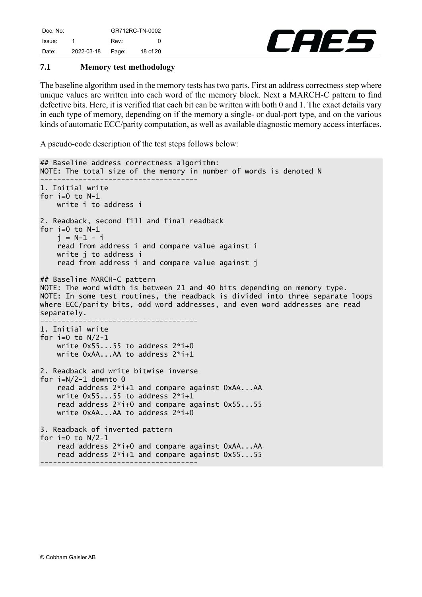

## <span id="page-17-0"></span>**7.1 Memory test methodology**

The baseline algorithm used in the memory tests has two parts. First an address correctness step where unique values are written into each word of the memory block. Next a MARCH-C pattern to find defective bits. Here, it is verified that each bit can be written with both 0 and 1. The exact details vary in each type of memory, depending on if the memory a single- or dual-port type, and on the various kinds of automatic ECC/parity computation, as well as available diagnostic memory access interfaces.

A pseudo-code description of the test steps follows below:

```
## Baseline address correctness algorithm:
NOTE: The total size of the memory in number of words is denoted N
-------------------------------------
1. Initial write
for i=0 to N-1 write i to address i
2. Readback, second fill and final readback
for i=0 to N-1i = N-1 - i read from address i and compare value against i
    write i to address i
     read from address i and compare value against j
## Baseline MARCH-C pattern
NOTE: The word width is between 21 and 40 bits depending on memory type.
NOTE: In some test routines, the readback is divided into three separate loops 
where ECC/parity bits, odd word addresses, and even word addresses are read 
separately.
                 -------------------------------------
1. Initial write
for i=0 to N/2-1 write 0x55...55 to address 2*i+0
     write 0xAA...AA to address 2*i+1
2. Readback and write bitwise inverse
for i=N/2-1 downto 0
     read address 2*i+1 and compare against 0xAA...AA
     write 0x55...55 to address 2*i+1
     read address 2*i+0 and compare against 0x55...55
     write 0xAA...AA to address 2*i+0
3. Readback of inverted pattern
for i=0 to N/2-1 read address 2*i+0 and compare against 0xAA...AA
     read address 2*i+1 and compare against 0x55...55
-------------------------------------
```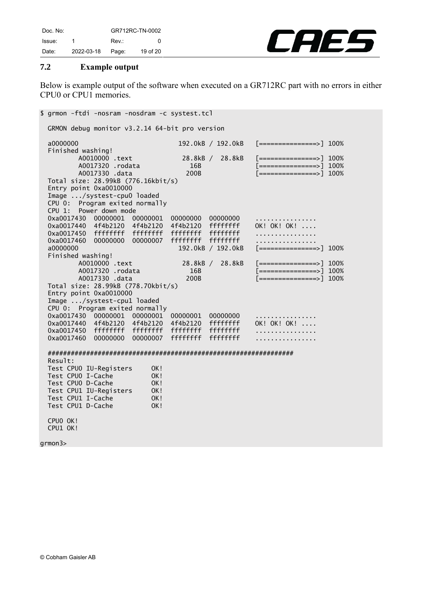

#### <span id="page-18-0"></span>**7.2 Example output**

Below is example output of the software when executed on a GR712RC part with no errors in either CPU0 or CPU1 memories.

\$ grmon -ftdi -nosram -nosdram -c systest.tcl GRMON debug monitor v3.2.14 64-bit pro version a0000000 192.0kB / 192.0kB [===============>] 100% Finished washing! A0010000 .text 28.8kB / 28.8kB [=============>] 100% A0017320 .rodata 16B [===============>] 100% A0017330 .data 200B [===============>] 100% Total size: 28.99kB (776.16kbit/s) Entry point 0xa0010000 Image .../systest-cpu0 loaded CPU 0: Program exited normally CPU 1: Power down mode 0xa0017430 00000001 00000001 00000000 00000000 ................ 0xa0017440 4f4b2120 4f4b2120 4f4b2120 ffffffff OK! OK! OK! .... 0xa0017450 ffffffff ffffffff ffffffff ffffffff ................ 0xa0017460 00000000 00000007 ffffffff ffffffff ................ a0000000 192.0kB / 192.0kB [===============>] 100% Finished washing! 28.8kB / 28.8kB [==============>] 100% A0017320 .rodata 16B [===============>] 100% A0017330 .data 200B [===============>] 100% Total size: 28.99kB (778.70kbit/s) Entry point 0xa0010000 Image .../systest-cpu1 loaded CPU 0: Program exited normally 0xa0017430 00000001 00000001 00000001 00000000 ................ 0xa0017440 4f4b2120 4f4b2120 4f4b2120 ffffffff OK! OK! OK! .... 0xa0017450 ffffffff ffffffff ffffffff ffffffff ................ 0xa0017460 00000000 00000007 ffffffff ffffffff ................ ################################################################ Result: Test CPU0 IU-Registers OK! Test CPUO I-Cache 0K! Test CPUO D-Cache 0K! Test CPU1 IU-Registers OK! Test CPU1 I-Cache 0K! Test CPU1 D-Cache 0K! CPU0 OK! CPU1 OK! grmon3>